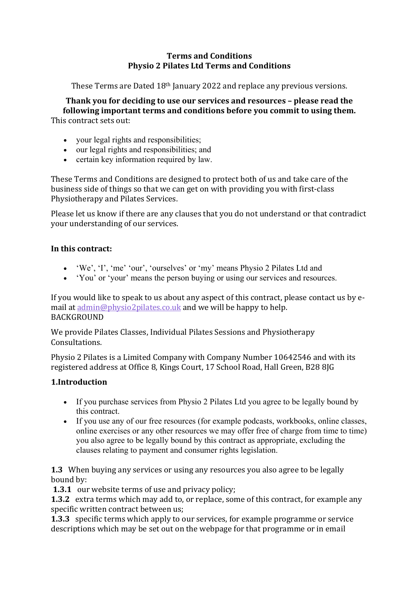### **Terms and Conditions Physio 2 Pilates Ltd Terms and Conditions**

These Terms are Dated 18<sup>th</sup> January 2022 and replace any previous versions.

**Thank you for deciding to use our services and resources – please read the following important terms and conditions before you commit to using them.** This contract sets out:

- your legal rights and responsibilities;
- our legal rights and responsibilities; and
- certain key information required by law.

These Terms and Conditions are designed to protect both of us and take care of the business side of things so that we can get on with providing you with first-class Physiotherapy and Pilates Services.

Please let us know if there are any clauses that you do not understand or that contradict your understanding of our services.

#### **In this contract:**

- 'We', 'I', 'me' 'our', 'ourselves' or 'my' means Physio 2 Pilates Ltd and
- 'You' or 'your' means the person buying or using our services and resources.

If you would like to speak to us about any aspect of this contract, please contact us by email at admin@physio2pilates.co.uk and we will be happy to help. **BACKGROUND** 

We provide Pilates Classes, Individual Pilates Sessions and Physiotherapy Consultations.

Physio 2 Pilates is a Limited Company with Company Number 10642546 and with its registered address at Office 8, Kings Court, 17 School Road, Hall Green, B28 8JG

### **1.Introduction**

- If you purchase services from Physio 2 Pilates Ltd you agree to be legally bound by this contract.
- If you use any of our free resources (for example podcasts, workbooks, online classes, online exercises or any other resources we may offer free of charge from time to time) you also agree to be legally bound by this contract as appropriate, excluding the clauses relating to payment and consumer rights legislation.

**1.3** When buying any services or using any resources you also agree to be legally bound by:

**1.3.1** our website terms of use and privacy policy;

**1.3.2** extra terms which may add to, or replace, some of this contract, for example any specific written contract between us;

**1.3.3** specific terms which apply to our services, for example programme or service descriptions which may be set out on the webpage for that programme or in email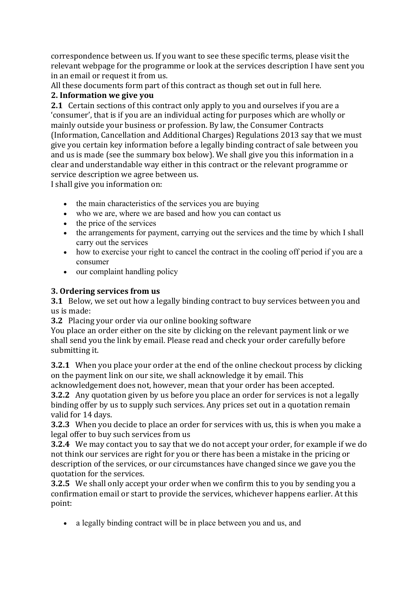correspondence between us. If you want to see these specific terms, please visit the relevant webpage for the programme or look at the services description I have sent you in an email or request it from us.

All these documents form part of this contract as though set out in full here.

## **2. Information we give you**

**2.1** Certain sections of this contract only apply to you and ourselves if you are a 'consumer', that is if you are an individual acting for purposes which are wholly or mainly outside your business or profession. By law, the Consumer Contracts (Information, Cancellation and Additional Charges) Regulations 2013 say that we must give you certain key information before a legally binding contract of sale between you and us is made (see the summary box below). We shall give you this information in a clear and understandable way either in this contract or the relevant programme or service description we agree between us.

I shall give you information on:

- the main characteristics of the services you are buying
- who we are, where we are based and how you can contact us
- the price of the services
- the arrangements for payment, carrying out the services and the time by which I shall carry out the services
- how to exercise your right to cancel the contract in the cooling off period if you are a consumer
- our complaint handling policy

# **3. Ordering services from us**

**3.1** Below, we set out how a legally binding contract to buy services between you and us is made:

**3.2** Placing your order via our online booking software

You place an order either on the site by clicking on the relevant payment link or we shall send you the link by email. Please read and check your order carefully before submitting it.

**3.2.1** When you place your order at the end of the online checkout process by clicking on the payment link on our site, we shall acknowledge it by email. This

acknowledgement does not, however, mean that your order has been accepted.

**3.2.2** Any quotation given by us before you place an order for services is not a legally binding offer by us to supply such services. Any prices set out in a quotation remain valid for 14 days.

**3.2.3** When you decide to place an order for services with us, this is when you make a legal offer to buy such services from us

**3.2.4** We may contact you to say that we do not accept your order, for example if we do not think our services are right for you or there has been a mistake in the pricing or description of the services, or our circumstances have changed since we gave you the quotation for the services.

**3.2.5** We shall only accept your order when we confirm this to you by sending you a confirmation email or start to provide the services, whichever happens earlier. At this point:

• a legally binding contract will be in place between you and us, and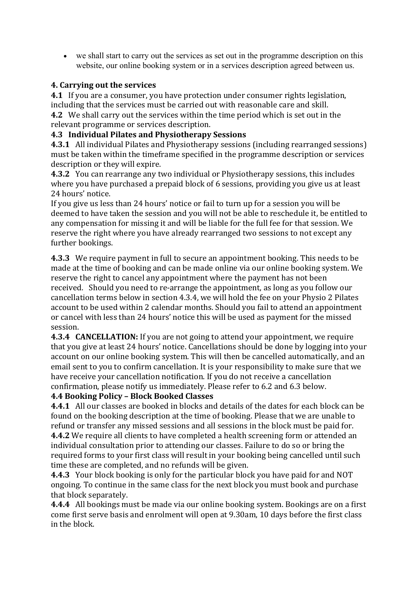• we shall start to carry out the services as set out in the programme description on this website, our online booking system or in a services description agreed between us.

#### **4. Carrying out the services**

**4.1** If you are a consumer, you have protection under consumer rights legislation, including that the services must be carried out with reasonable care and skill.

**4.2** We shall carry out the services within the time period which is set out in the relevant programme or services description.

#### **4.3 Individual Pilates and Physiotherapy Sessions**

**4.3.1** All individual Pilates and Physiotherapy sessions (including rearranged sessions) must be taken within the timeframe specified in the programme description or services description or they will expire.

**4.3.2** You can rearrange any two individual or Physiotherapy sessions, this includes where you have purchased a prepaid block of 6 sessions, providing you give us at least 24 hours' notice.

If you give us less than  $24$  hours' notice or fail to turn up for a session you will be deemed to have taken the session and you will not be able to reschedule it, be entitled to any compensation for missing it and will be liable for the full fee for that session. We reserve the right where you have already rearranged two sessions to not except any further bookings.

**4.3.3** We require payment in full to secure an appointment booking. This needs to be made at the time of booking and can be made online via our online booking system. We reserve the right to cancel any appointment where the payment has not been received. Should you need to re-arrange the appointment, as long as you follow our cancellation terms below in section 4.3.4, we will hold the fee on your Physio 2 Pilates account to be used within 2 calendar months. Should you fail to attend an appointment or cancel with less than 24 hours' notice this will be used as payment for the missed session.

**4.3.4 CANCELLATION:** If you are not going to attend your appointment, we require that you give at least 24 hours' notice. Cancellations should be done by logging into your account on our online booking system. This will then be cancelled automatically, and an email sent to you to confirm cancellation. It is your responsibility to make sure that we have receive your cancellation notification. If you do not receive a cancellation confirmation, please notify us immediately. Please refer to 6.2 and 6.3 below.

### **4.4 Booking Policy – Block Booked Classes**

**4.4.1** All our classes are booked in blocks and details of the dates for each block can be found on the booking description at the time of booking. Please that we are unable to refund or transfer any missed sessions and all sessions in the block must be paid for. **4.4.2** We require all clients to have completed a health screening form or attended an individual consultation prior to attending our classes. Failure to do so or bring the required forms to your first class will result in your booking being cancelled until such time these are completed, and no refunds will be given.

**4.4.3** Your block booking is only for the particular block you have paid for and NOT ongoing. To continue in the same class for the next block you must book and purchase that block separately.

**4.4.4** All bookings must be made via our online booking system. Bookings are on a first come first serve basis and enrolment will open at 9.30am, 10 days before the first class in the block.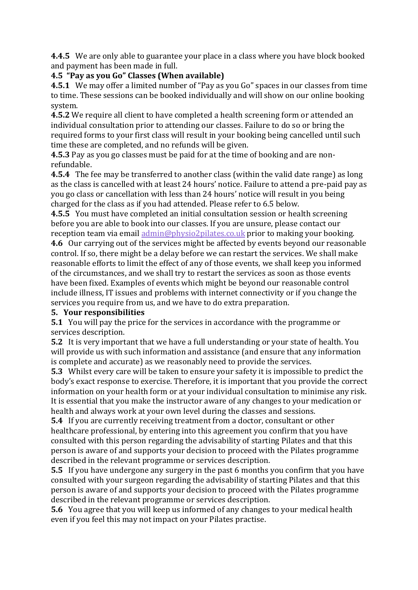**4.4.5** We are only able to guarantee your place in a class where you have block booked and payment has been made in full.

### **4.5 "Pay as you Go" Classes (When available)**

**4.5.1** We may offer a limited number of "Pay as you Go" spaces in our classes from time to time. These sessions can be booked individually and will show on our online booking system.

**4.5.2** We require all client to have completed a health screening form or attended an individual consultation prior to attending our classes. Failure to do so or bring the required forms to your first class will result in your booking being cancelled until such time these are completed, and no refunds will be given.

**4.5.3** Pay as you go classes must be paid for at the time of booking and are nonrefundable.

**4.5.4** The fee may be transferred to another class (within the valid date range) as long as the class is cancelled with at least 24 hours' notice. Failure to attend a pre-paid pay as you go class or cancellation with less than 24 hours' notice will result in you being charged for the class as if you had attended. Please refer to 6.5 below.

**4.5.5** You must have completed an initial consultation session or health screening before you are able to book into our classes. If you are unsure, please contact our reception team via email  $\text{admin@physio2pilates.co.uk prior to making your booking.}$ 

**4.6** Our carrying out of the services might be affected by events beyond our reasonable control. If so, there might be a delay before we can restart the services. We shall make reasonable efforts to limit the effect of any of those events, we shall keep you informed of the circumstances, and we shall try to restart the services as soon as those events have been fixed. Examples of events which might be beyond our reasonable control include illness, IT issues and problems with internet connectivity or if you change the services you require from us, and we have to do extra preparation.

### **5. Your responsibilities**

**5.1** You will pay the price for the services in accordance with the programme or services description.

**5.2** It is very important that we have a full understanding or your state of health. You will provide us with such information and assistance (and ensure that any information is complete and accurate) as we reasonably need to provide the services.

**5.3** Whilst every care will be taken to ensure your safety it is impossible to predict the body's exact response to exercise. Therefore, it is important that you provide the correct information on your health form or at your individual consultation to minimise any risk. It is essential that you make the instructor aware of any changes to your medication or health and always work at your own level during the classes and sessions.

**5.4** If you are currently receiving treatment from a doctor, consultant or other healthcare professional, by entering into this agreement you confirm that you have consulted with this person regarding the advisability of starting Pilates and that this person is aware of and supports your decision to proceed with the Pilates programme described in the relevant programme or services description.

**5.5** If you have undergone any surgery in the past 6 months you confirm that you have consulted with your surgeon regarding the advisability of starting Pilates and that this person is aware of and supports your decision to proceed with the Pilates programme described in the relevant programme or services description.

**5.6** You agree that you will keep us informed of any changes to your medical health even if you feel this may not impact on your Pilates practise.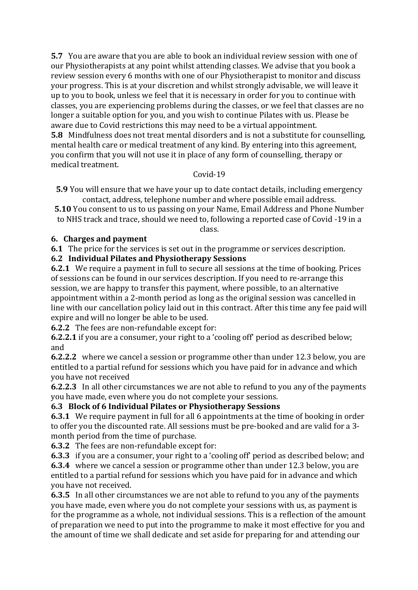**5.7** You are aware that you are able to book an individual review session with one of our Physiotherapists at any point whilst attending classes. We advise that you book a review session every 6 months with one of our Physiotherapist to monitor and discuss your progress. This is at your discretion and whilst strongly advisable, we will leave it up to you to book, unless we feel that it is necessary in order for you to continue with classes, you are experiencing problems during the classes, or we feel that classes are no longer a suitable option for you, and you wish to continue Pilates with us. Please be aware due to Covid restrictions this may need to be a virtual appointment.

**5.8** Mindfulness does not treat mental disorders and is not a substitute for counselling, mental health care or medical treatment of any kind. By entering into this agreement, you confirm that you will not use it in place of any form of counselling, therapy or medical treatment.

#### Covid-19

**5.9** You will ensure that we have your up to date contact details, including emergency contact, address, telephone number and where possible email address.

**5.10** You consent to us to us passing on your Name, Email Address and Phone Number to NHS track and trace, should we need to, following a reported case of Covid -19 in a

class.

#### **6. Charges and payment**

**6.1** The price for the services is set out in the programme or services description.

#### **6.2 Individual Pilates and Physiotherapy Sessions**

**6.2.1** We require a payment in full to secure all sessions at the time of booking. Prices of sessions can be found in our services description. If you need to re-arrange this session, we are happy to transfer this payment, where possible, to an alternative appointment within a 2-month period as long as the original session was cancelled in line with our cancellation policy laid out in this contract. After this time any fee paid will expire and will no longer be able to be used.

**6.2.2** The fees are non-refundable except for:

**6.2.2.1** if you are a consumer, your right to a 'cooling off' period as described below; and

**6.2.2.2** where we cancel a session or programme other than under 12.3 below, you are entitled to a partial refund for sessions which you have paid for in advance and which you have not received

**6.2.2.3** In all other circumstances we are not able to refund to you any of the payments you have made, even where you do not complete your sessions.

#### **6.3 Block of 6 Individual Pilates or Physiotherapy Sessions**

**6.3.1** We require payment in full for all 6 appointments at the time of booking in order to offer you the discounted rate. All sessions must be pre-booked and are valid for a 3month period from the time of purchase.

**6.3.2** The fees are non-refundable except for:

**6.3.3** if you are a consumer, your right to a 'cooling off' period as described below; and **6.3.4** where we cancel a session or programme other than under 12.3 below, you are entitled to a partial refund for sessions which you have paid for in advance and which you have not received.

**6.3.5** In all other circumstances we are not able to refund to you any of the payments you have made, even where you do not complete your sessions with us, as payment is for the programme as a whole, not individual sessions. This is a reflection of the amount of preparation we need to put into the programme to make it most effective for you and the amount of time we shall dedicate and set aside for preparing for and attending our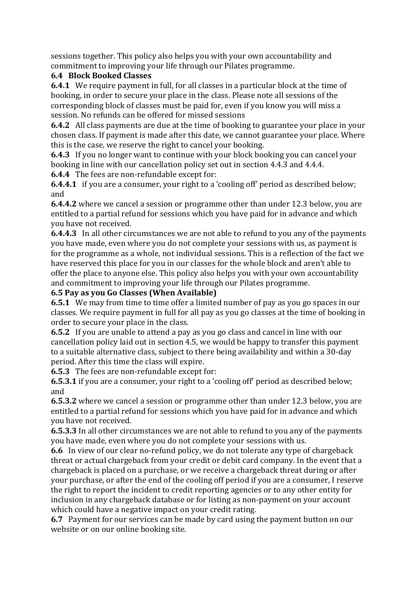sessions together. This policy also helps you with your own accountability and commitment to improving your life through our Pilates programme.

#### **6.4 Block Booked Classes**

**6.4.1** We require payment in full, for all classes in a particular block at the time of booking, in order to secure your place in the class. Please note all sessions of the corresponding block of classes must be paid for, even if you know you will miss a session. No refunds can be offered for missed sessions

**6.4.2** All class payments are due at the time of booking to guarantee your place in your chosen class. If payment is made after this date, we cannot guarantee your place. Where this is the case, we reserve the right to cancel your booking.

**6.4.3** If you no longer want to continue with your block booking you can cancel your booking in line with our cancellation policy set out in section 4.4.3 and 4.4.4.

**6.4.4** The fees are non-refundable except for:

**6.4.4.1** if you are a consumer, your right to a 'cooling off' period as described below; and

**6.4.4.2** where we cancel a session or programme other than under 12.3 below, you are entitled to a partial refund for sessions which you have paid for in advance and which you have not received.

**6.4.4.3** In all other circumstances we are not able to refund to you any of the payments you have made, even where you do not complete your sessions with us, as payment is for the programme as a whole, not individual sessions. This is a reflection of the fact we have reserved this place for you in our classes for the whole block and aren't able to offer the place to anyone else. This policy also helps you with your own accountability and commitment to improving your life through our Pilates programme.

### **6.5 Pay as you Go Classes (When Available)**

**6.5.1** We may from time to time offer a limited number of pay as you go spaces in our classes. We require payment in full for all pay as you go classes at the time of booking in order to secure your place in the class.

**6.5.2** If you are unable to attend a pay as you go class and cancel in line with our cancellation policy laid out in section  $4.5$ , we would be happy to transfer this payment to a suitable alternative class, subject to there being availability and within a 30-day period. After this time the class will expire.

**6.5.3** The fees are non-refundable except for:

**6.5.3.1** if you are a consumer, your right to a 'cooling off' period as described below; and

**6.5.3.2** where we cancel a session or programme other than under 12.3 below, you are entitled to a partial refund for sessions which you have paid for in advance and which you have not received.

**6.5.3.3** In all other circumstances we are not able to refund to you any of the payments you have made, even where you do not complete your sessions with us.

**6.6** In view of our clear no-refund policy, we do not tolerate any type of chargeback threat or actual chargeback from your credit or debit card company. In the event that a chargeback is placed on a purchase, or we receive a chargeback threat during or after your purchase, or after the end of the cooling off period if you are a consumer, I reserve the right to report the incident to credit reporting agencies or to any other entity for inclusion in any chargeback database or for listing as non-payment on your account which could have a negative impact on your credit rating.

**6.7** Payment for our services can be made by card using the payment button on our website or on our online booking site.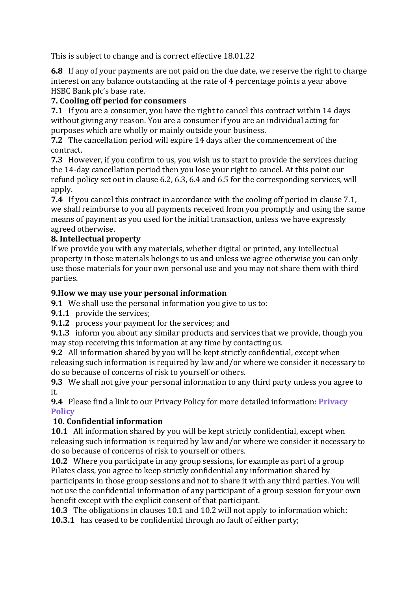This is subject to change and is correct effective 18.01.22

**6.8** If any of your payments are not paid on the due date, we reserve the right to charge interest on any balance outstanding at the rate of 4 percentage points a year above HSBC Bank plc's base rate.

# **7. Cooling off period for consumers**

**7.1** If you are a consumer, you have the right to cancel this contract within 14 days without giving any reason. You are a consumer if you are an individual acting for purposes which are wholly or mainly outside your business.

**7.2** The cancellation period will expire 14 days after the commencement of the contract.

**7.3** However, if you confirm to us, you wish us to start to provide the services during the 14-day cancellation period then you lose your right to cancel. At this point our refund policy set out in clause  $6.2$ ,  $6.3$ ,  $6.4$  and  $6.5$  for the corresponding services, will apply.

**7.4** If you cancel this contract in accordance with the cooling off period in clause 7.1, we shall reimburse to you all payments received from you promptly and using the same means of payment as you used for the initial transaction, unless we have expressly agreed otherwise.

## **8. Intellectual property**

If we provide you with any materials, whether digital or printed, any intellectual property in those materials belongs to us and unless we agree otherwise you can only use those materials for your own personal use and you may not share them with third parties.

### **9.How we may use your personal information**

**9.1** We shall use the personal information you give to us to:

**9.1.1** provide the services:

**9.1.2** process your payment for the services; and

**9.1.3** inform you about any similar products and services that we provide, though you may stop receiving this information at any time by contacting us.

**9.2** All information shared by you will be kept strictly confidential, except when releasing such information is required by law and/or where we consider it necessary to do so because of concerns of risk to yourself or others.

**9.3** We shall not give your personal information to any third party unless you agree to it.

**9.4** Please find a link to our Privacy Policy for more detailed information: Privacy **Policy**

# **10. Confidential information**

**10.1** All information shared by you will be kept strictly confidential, except when releasing such information is required by law and/or where we consider it necessary to do so because of concerns of risk to yourself or others.

**10.2** Where you participate in any group sessions, for example as part of a group Pilates class, you agree to keep strictly confidential any information shared by participants in those group sessions and not to share it with any third parties. You will not use the confidential information of any participant of a group session for your own benefit except with the explicit consent of that participant.

**10.3** The obligations in clauses 10.1 and 10.2 will not apply to information which:

**10.3.1** has ceased to be confidential through no fault of either party;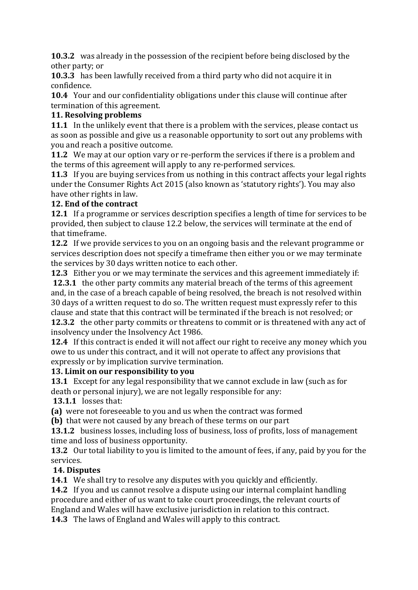**10.3.2** was already in the possession of the recipient before being disclosed by the other party; or

**10.3.3** has been lawfully received from a third party who did not acquire it in confidence.

**10.4** Your and our confidentiality obligations under this clause will continue after termination of this agreement.

## **11. Resolving problems**

**11.1** In the unlikely event that there is a problem with the services, please contact us as soon as possible and give us a reasonable opportunity to sort out any problems with you and reach a positive outcome.

**11.2** We may at our option vary or re-perform the services if there is a problem and the terms of this agreement will apply to any re-performed services.

**11.3** If you are buying services from us nothing in this contract affects your legal rights under the Consumer Rights Act 2015 (also known as 'statutory rights'). You may also have other rights in law.

## **12. End of the contract**

**12.1** If a programme or services description specifies a length of time for services to be provided, then subject to clause 12.2 below, the services will terminate at the end of that timeframe.

**12.2** If we provide services to you on an ongoing basis and the relevant programme or services description does not specify a timeframe then either you or we may terminate the services by 30 days written notice to each other.

**12.3** Either you or we may terminate the services and this agreement immediately if: **12.3.1** the other party commits any material breach of the terms of this agreement and, in the case of a breach capable of being resolved, the breach is not resolved within

30 days of a written request to do so. The written request must expressly refer to this clause and state that this contract will be terminated if the breach is not resolved; or **12.3.2** the other party commits or threatens to commit or is threatened with any act of insolvency under the Insolvency Act 1986.

**12.4** If this contract is ended it will not affect our right to receive any money which you owe to us under this contract, and it will not operate to affect any provisions that expressly or by implication survive termination.

### **13. Limit on our responsibility to you**

**13.1** Except for any legal responsibility that we cannot exclude in law (such as for death or personal injury), we are not legally responsible for any:

**13.1.1** losses that:

**(a)** were not foreseeable to you and us when the contract was formed

**(b)** that were not caused by any breach of these terms on our part

**13.1.2** business losses, including loss of business, loss of profits, loss of management time and loss of business opportunity.

**13.2** Our total liability to you is limited to the amount of fees, if any, paid by you for the services.

# **14. Disputes**

**14.1** We shall try to resolve any disputes with you quickly and efficiently.

**14.2** If you and us cannot resolve a dispute using our internal complaint handling procedure and either of us want to take court proceedings, the relevant courts of England and Wales will have exclusive jurisdiction in relation to this contract.

**14.3** The laws of England and Wales will apply to this contract.